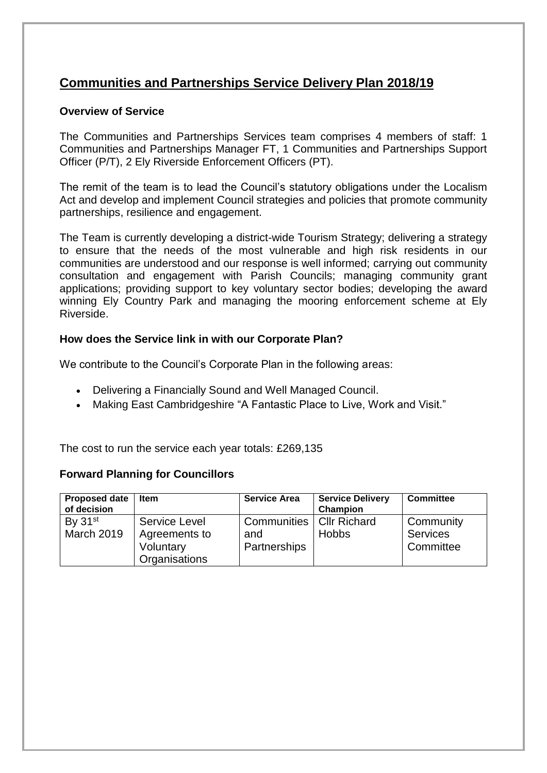### **Communities and Partnerships Service Delivery Plan 2018/19**

#### **Overview of Service**

The Communities and Partnerships Services team comprises 4 members of staff: 1 Communities and Partnerships Manager FT, 1 Communities and Partnerships Support Officer (P/T), 2 Ely Riverside Enforcement Officers (PT).

The remit of the team is to lead the Council's statutory obligations under the Localism Act and develop and implement Council strategies and policies that promote community partnerships, resilience and engagement.

The Team is currently developing a district-wide Tourism Strategy; delivering a strategy to ensure that the needs of the most vulnerable and high risk residents in our communities are understood and our response is well informed; carrying out community consultation and engagement with Parish Councils; managing community grant applications; providing support to key voluntary sector bodies; developing the award winning Ely Country Park and managing the mooring enforcement scheme at Ely Riverside.

#### **How does the Service link in with our Corporate Plan?**

We contribute to the Council's Corporate Plan in the following areas:

- Delivering a Financially Sound and Well Managed Council.
- Making East Cambridgeshire "A Fantastic Place to Live, Work and Visit."

The cost to run the service each year totals: £269,135

#### **Forward Planning for Councillors**

| <b>Proposed date</b><br>of decision | <b>Item</b>                                                         | <b>Service Area</b>                               | <b>Service Delivery</b><br><b>Champion</b> | <b>Committee</b>                          |
|-------------------------------------|---------------------------------------------------------------------|---------------------------------------------------|--------------------------------------------|-------------------------------------------|
| By $31st$<br><b>March 2019</b>      | <b>Service Level</b><br>Agreements to<br>Voluntary<br>Organisations | Communities   Cllr Richard<br>and<br>Partnerships | <b>Hobbs</b>                               | Community<br><b>Services</b><br>Committee |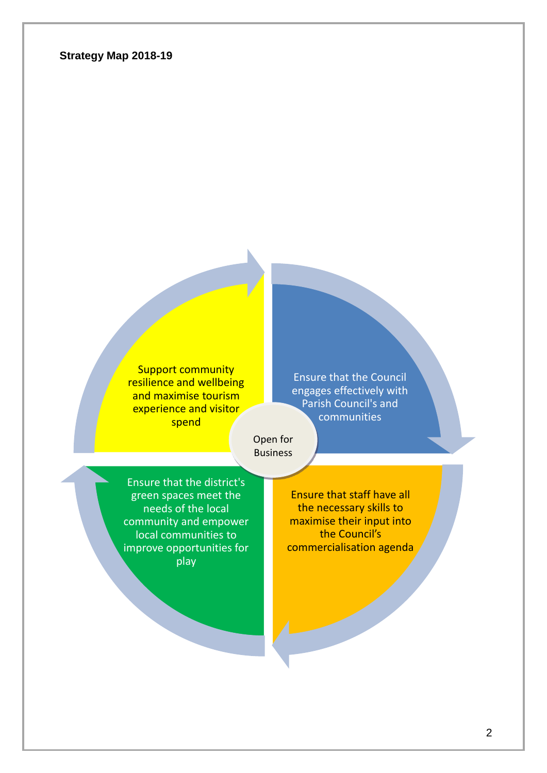#### **Strategy Map 2018-19**

Support community resilience and wellbeing and maximise tourism experience and visitor spend

Ensure that the Council engages effectively with Parish Council's and communities

Open for **Business** 

Ensure that the district's green spaces meet the needs of the local community and empower local communities to improve opportunities for play

Ensure that staff have all the necessary skills to maximise their input into the Council's commercialisation agenda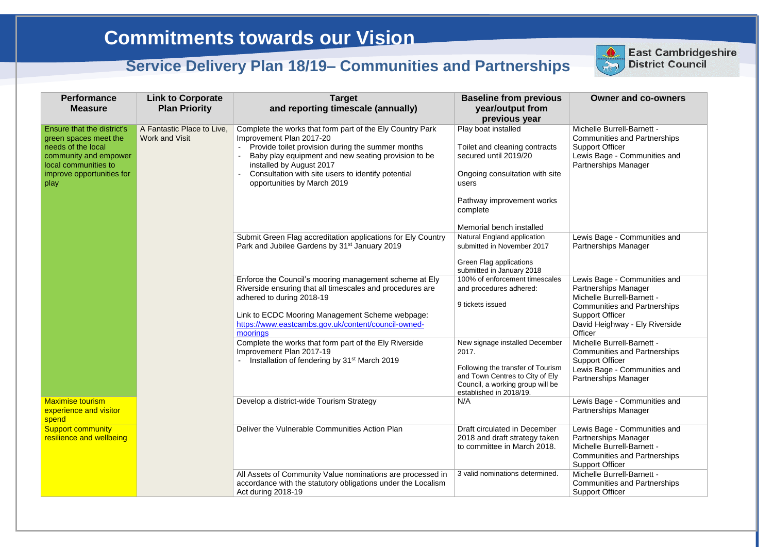#### **Owner and co-owners**

chelle Burrell-Barnett mmunities and Partnerships oport Officer wis Bage - Communities and rtnerships Manager wis Bage - Communities and rtnerships Manager

wis Bage - Communities and rtnerships Manager chelle Burrell-Barnett mmunities and Partnerships pport Officer vid Heighway - Ely Riverside icer chelle Burrell-Barnett mmunities and Partnerships pport Officer wis Bage - Communities and rtnerships Manager wis Bage - Communities and rtnerships Manager

wis Bage - Communities and rtnerships Manager chelle Burrell-Barnett mmunities and Partnerships pport Officer chelle Burrell-Barnett mmunities and Partnerships pport Officer

| <b>Performance</b><br><b>Measure</b>                                                                                                                                   | <b>Link to Corporate</b><br><b>Plan Priority</b>    | <b>Target</b><br>and reporting timescale (annually)                                                                                                                                                                                                                                                                | <b>Baseline from previous</b><br>year/output from<br>previous year                                                                                                             |                                               |
|------------------------------------------------------------------------------------------------------------------------------------------------------------------------|-----------------------------------------------------|--------------------------------------------------------------------------------------------------------------------------------------------------------------------------------------------------------------------------------------------------------------------------------------------------------------------|--------------------------------------------------------------------------------------------------------------------------------------------------------------------------------|-----------------------------------------------|
| <b>Ensure that the district's</b><br>green spaces meet the<br>needs of the local<br>community and empower<br>local communities to<br>improve opportunities for<br>play | A Fantastic Place to Live,<br><b>Work and Visit</b> | Complete the works that form part of the Ely Country Park<br>Improvement Plan 2017-20<br>Provide toilet provision during the summer months<br>Baby play equipment and new seating provision to be<br>installed by August 2017<br>Consultation with site users to identify potential<br>opportunities by March 2019 | Play boat installed<br>Toilet and cleaning contracts<br>secured until 2019/20<br>Ongoing consultation with site<br>users<br>Pathway improvement works<br>complete              | Mic<br>Cor<br>Sup<br>Lev<br>Par               |
|                                                                                                                                                                        |                                                     | Submit Green Flag accreditation applications for Ely Country<br>Park and Jubilee Gardens by 31 <sup>st</sup> January 2019                                                                                                                                                                                          | Memorial bench installed<br>Natural England application<br>submitted in November 2017<br><b>Green Flag applications</b><br>submitted in January 2018                           | Lev<br>Par                                    |
|                                                                                                                                                                        |                                                     | Enforce the Council's mooring management scheme at Ely<br>Riverside ensuring that all timescales and procedures are<br>adhered to during 2018-19<br>Link to ECDC Mooring Management Scheme webpage:<br>https://www.eastcambs.gov.uk/content/council-owned-<br>moorings                                             | 100% of enforcement timescales<br>and procedures adhered:<br>9 tickets issued                                                                                                  | Lev<br>Par<br>Mic<br>Cor<br>Sur<br>Da<br>Offi |
|                                                                                                                                                                        |                                                     | Complete the works that form part of the Ely Riverside<br>Improvement Plan 2017-19<br>Installation of fendering by 31 <sup>st</sup> March 2019                                                                                                                                                                     | New signage installed December<br>2017.<br>Following the transfer of Tourism<br>and Town Centres to City of Ely<br>Council, a working group will be<br>established in 2018/19. | Mic<br>Cor<br>Sur<br>Lev<br>Par               |
| <b>Maximise tourism</b><br>experience and visitor<br>spend                                                                                                             |                                                     | Develop a district-wide Tourism Strategy                                                                                                                                                                                                                                                                           | N/A                                                                                                                                                                            | Lev<br>Par                                    |
| <b>Support community</b><br>resilience and wellbeing                                                                                                                   |                                                     | Deliver the Vulnerable Communities Action Plan                                                                                                                                                                                                                                                                     | Draft circulated in December<br>2018 and draft strategy taken<br>to committee in March 2018.                                                                                   | Lev<br>Par<br>Mic<br>Cor<br>Sup               |
|                                                                                                                                                                        |                                                     | All Assets of Community Value nominations are processed in<br>accordance with the statutory obligations under the Localism<br>Act during 2018-19                                                                                                                                                                   | 3 valid nominations determined.                                                                                                                                                | Mic<br>Cor<br>Sup                             |



## **East Cambridgeshire** District Council

# **Commitments towards our Vision**

## **Service Delivery Plan 18/19– Communities and Partnerships**